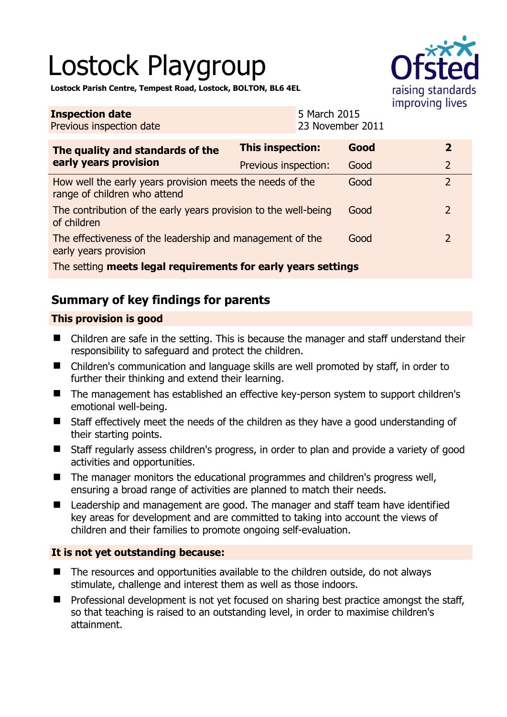# Lostock Playgroup



**Lostock Parish Centre, Tempest Road, Lostock, BOLTON, BL6 4EL** 

| <b>Inspection date</b><br>Previous inspection date                                        |                      | 5 March 2015<br>23 November 2011 |      |  |                |
|-------------------------------------------------------------------------------------------|----------------------|----------------------------------|------|--|----------------|
| The quality and standards of the<br>early years provision                                 | This inspection:     |                                  | Good |  | $\overline{2}$ |
|                                                                                           | Previous inspection: |                                  | Good |  | $\overline{2}$ |
| How well the early years provision meets the needs of the<br>range of children who attend |                      |                                  | Good |  | $\overline{2}$ |
| The contribution of the early years provision to the well-being<br>of children            |                      |                                  | Good |  | $\overline{2}$ |
| The effectiveness of the leadership and management of the<br>early years provision        |                      |                                  | Good |  | $\overline{2}$ |
| The setting meets legal requirements for early years settings                             |                      |                                  |      |  |                |

# **Summary of key findings for parents**

## **This provision is good**

- Children are safe in the setting. This is because the manager and staff understand their responsibility to safeguard and protect the children.
- Children's communication and language skills are well promoted by staff, in order to further their thinking and extend their learning.
- The management has established an effective key-person system to support children's emotional well-being.
- Staff effectively meet the needs of the children as they have a good understanding of their starting points.
- Staff regularly assess children's progress, in order to plan and provide a variety of good activities and opportunities.
- The manager monitors the educational programmes and children's progress well, ensuring a broad range of activities are planned to match their needs.
- Leadership and management are good. The manager and staff team have identified key areas for development and are committed to taking into account the views of children and their families to promote ongoing self-evaluation.

## **It is not yet outstanding because:**

- The resources and opportunities available to the children outside, do not always stimulate, challenge and interest them as well as those indoors.
- Professional development is not yet focused on sharing best practice amongst the staff, so that teaching is raised to an outstanding level, in order to maximise children's attainment.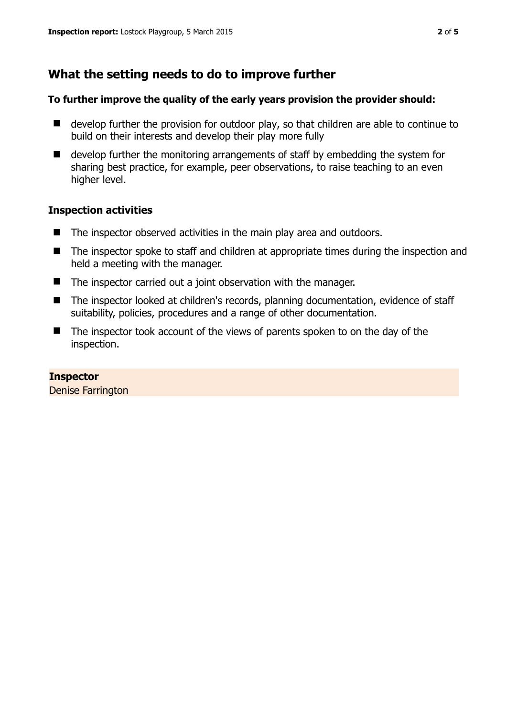# **What the setting needs to do to improve further**

#### **To further improve the quality of the early years provision the provider should:**

- develop further the provision for outdoor play, so that children are able to continue to build on their interests and develop their play more fully
- develop further the monitoring arrangements of staff by embedding the system for sharing best practice, for example, peer observations, to raise teaching to an even higher level.

#### **Inspection activities**

- The inspector observed activities in the main play area and outdoors.
- The inspector spoke to staff and children at appropriate times during the inspection and held a meeting with the manager.
- $\blacksquare$  The inspector carried out a joint observation with the manager.
- The inspector looked at children's records, planning documentation, evidence of staff suitability, policies, procedures and a range of other documentation.
- The inspector took account of the views of parents spoken to on the day of the inspection.

#### **Inspector**

Denise Farrington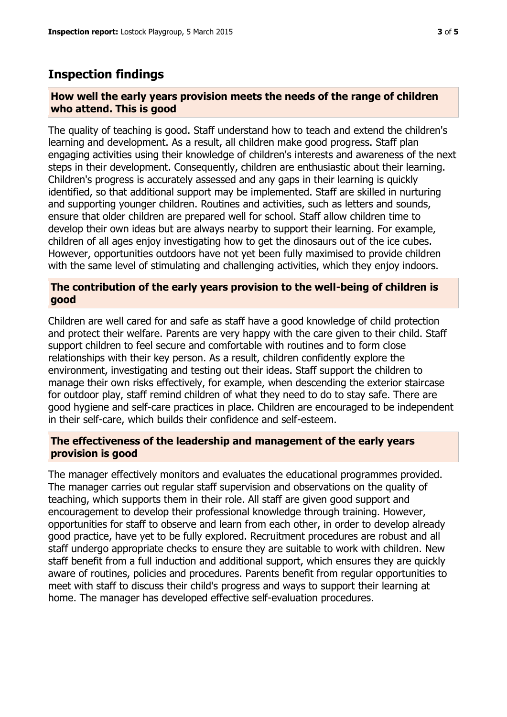## **Inspection findings**

#### **How well the early years provision meets the needs of the range of children who attend. This is good**

The quality of teaching is good. Staff understand how to teach and extend the children's learning and development. As a result, all children make good progress. Staff plan engaging activities using their knowledge of children's interests and awareness of the next steps in their development. Consequently, children are enthusiastic about their learning. Children's progress is accurately assessed and any gaps in their learning is quickly identified, so that additional support may be implemented. Staff are skilled in nurturing and supporting younger children. Routines and activities, such as letters and sounds, ensure that older children are prepared well for school. Staff allow children time to develop their own ideas but are always nearby to support their learning. For example, children of all ages enjoy investigating how to get the dinosaurs out of the ice cubes. However, opportunities outdoors have not yet been fully maximised to provide children with the same level of stimulating and challenging activities, which they enjoy indoors.

#### **The contribution of the early years provision to the well-being of children is good**

Children are well cared for and safe as staff have a good knowledge of child protection and protect their welfare. Parents are very happy with the care given to their child. Staff support children to feel secure and comfortable with routines and to form close relationships with their key person. As a result, children confidently explore the environment, investigating and testing out their ideas. Staff support the children to manage their own risks effectively, for example, when descending the exterior staircase for outdoor play, staff remind children of what they need to do to stay safe. There are good hygiene and self-care practices in place. Children are encouraged to be independent in their self-care, which builds their confidence and self-esteem.

#### **The effectiveness of the leadership and management of the early years provision is good**

The manager effectively monitors and evaluates the educational programmes provided. The manager carries out regular staff supervision and observations on the quality of teaching, which supports them in their role. All staff are given good support and encouragement to develop their professional knowledge through training. However, opportunities for staff to observe and learn from each other, in order to develop already good practice, have yet to be fully explored. Recruitment procedures are robust and all staff undergo appropriate checks to ensure they are suitable to work with children. New staff benefit from a full induction and additional support, which ensures they are quickly aware of routines, policies and procedures. Parents benefit from regular opportunities to meet with staff to discuss their child's progress and ways to support their learning at home. The manager has developed effective self-evaluation procedures.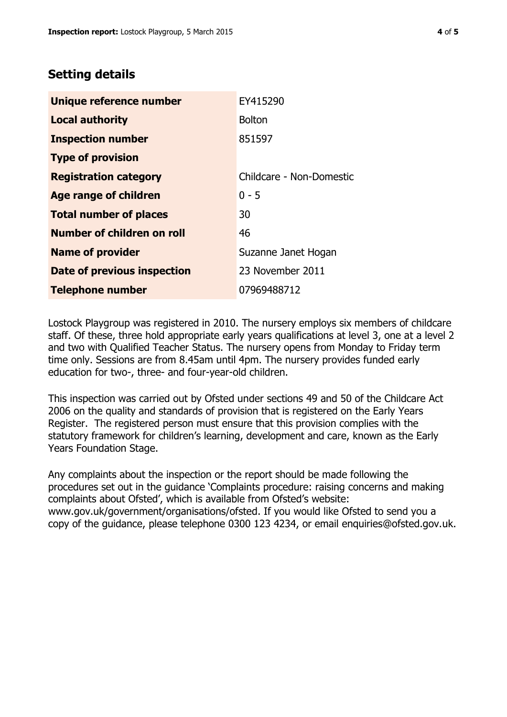## **Setting details**

| Unique reference number       | EY415290                 |  |
|-------------------------------|--------------------------|--|
| <b>Local authority</b>        | <b>Bolton</b>            |  |
| <b>Inspection number</b>      | 851597                   |  |
| <b>Type of provision</b>      |                          |  |
| <b>Registration category</b>  | Childcare - Non-Domestic |  |
| Age range of children         | $0 - 5$                  |  |
| <b>Total number of places</b> | 30                       |  |
| Number of children on roll    | 46                       |  |
| <b>Name of provider</b>       | Suzanne Janet Hogan      |  |
| Date of previous inspection   | 23 November 2011         |  |
| <b>Telephone number</b>       | 07969488712              |  |

Lostock Playgroup was registered in 2010. The nursery employs six members of childcare staff. Of these, three hold appropriate early years qualifications at level 3, one at a level 2 and two with Qualified Teacher Status. The nursery opens from Monday to Friday term time only. Sessions are from 8.45am until 4pm. The nursery provides funded early education for two-, three- and four-year-old children.

This inspection was carried out by Ofsted under sections 49 and 50 of the Childcare Act 2006 on the quality and standards of provision that is registered on the Early Years Register. The registered person must ensure that this provision complies with the statutory framework for children's learning, development and care, known as the Early Years Foundation Stage.

Any complaints about the inspection or the report should be made following the procedures set out in the guidance 'Complaints procedure: raising concerns and making complaints about Ofsted', which is available from Ofsted's website: www.gov.uk/government/organisations/ofsted. If you would like Ofsted to send you a copy of the guidance, please telephone 0300 123 4234, or email enquiries@ofsted.gov.uk.